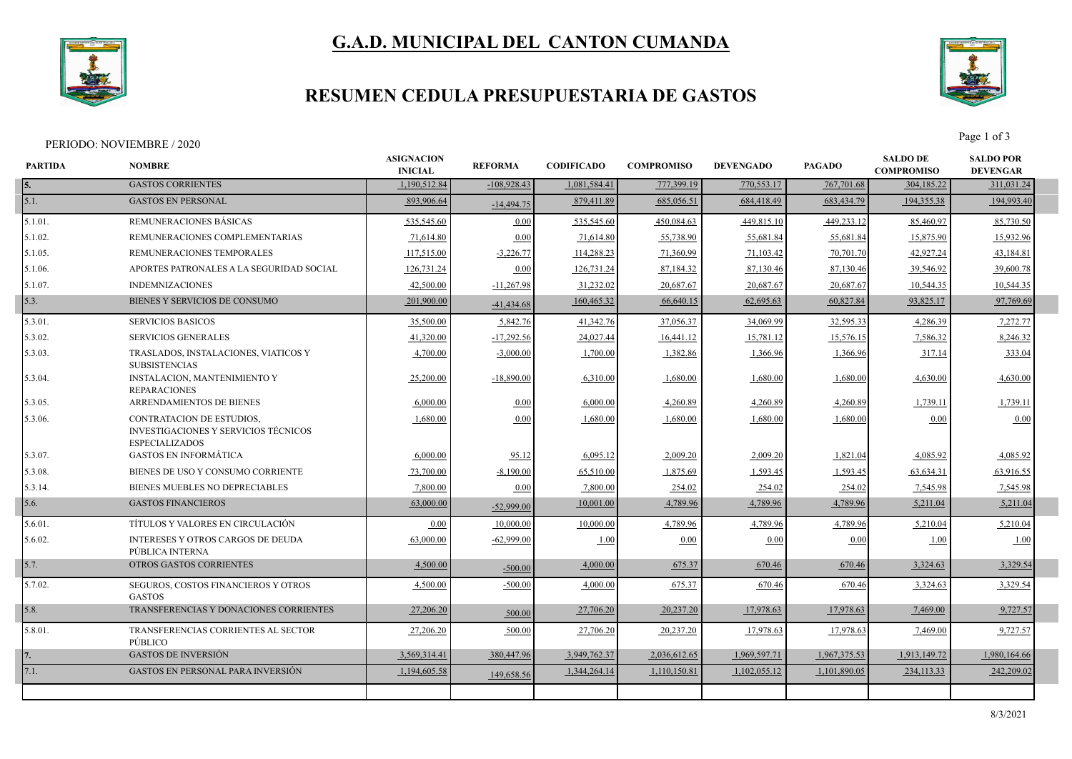

# **G.A.D. MUNICIPAL DEL CANTON CUMANDA**

## **RESUMEN CEDULA PRESUPUESTARIA DE GASTOS**



Page 1 of 3<br>Page 1 of 3

| <b>PARTIDA</b> | <b>NOMBRE</b>                                                                                     | <b>ASIGNACION</b><br><b>INICIAL</b> | <b>REFORMA</b> | <b>CODIFICADO</b> | <b>COMPROMISO</b> | <b>DEVENGADO</b> | <b>PAGADO</b> | <b>SALDO DE</b><br><b>COMPROMISO</b> | <b>SALDO POR</b><br><b>DEVENGAR</b> |  |
|----------------|---------------------------------------------------------------------------------------------------|-------------------------------------|----------------|-------------------|-------------------|------------------|---------------|--------------------------------------|-------------------------------------|--|
|                | <b>GASTOS CORRIENTES</b>                                                                          | 1.190.512.84                        | $-108,928.43$  | 1,081,584.41      | 777,399.19        | 770,553.17       | 767,701.68    | 304,185.22                           | 311,031.24                          |  |
| 5.1.           | <b>GASTOS EN PERSONAL</b>                                                                         | 893,906.64                          | $-14,494.75$   | 879,411.89        | 685,056.51        | 684,418.49       | 683,434.79    | 194, 355, 38                         | 194,993.40                          |  |
| 5.1.01.        | REMUNERACIONES BÁSICAS                                                                            | 535,545.60                          | 0.00           | 535,545.60        | 450,084.63        | 449,815.10       | 449.233.12    | 85,460.97                            | 85,730.50                           |  |
| 5.1.02.        | REMUNERACIONES COMPLEMENTARIAS                                                                    | 71,614.80                           | 0.00           | 71,614.80         | 55,738.90         | 55,681.84        | 55,681.84     | 15,875.90                            | 15,932.96                           |  |
| 5.1.05.        | REMUNERACIONES TEMPORALES                                                                         | 117,515.00                          | $-3,226.77$    | 114,288.23        | 71,360.99         | 71,103.42        | 70,701.70     | 42,927.24                            | 43,184.81                           |  |
| 5.1.06.        | APORTES PATRONALES A LA SEGURIDAD SOCIAL                                                          | 126,731.24                          | 0.00           | 126,731.24        | 87,184.32         | 87,130.46        | 87,130.46     | 39,546.92                            | 39,600.78                           |  |
| $5.1.07$ .     | <b>INDEMNIZACIONES</b>                                                                            | 42,500.00                           | $-11,267.98$   | 31,232.02         | 20,687.67         | 20,687.67        | 20,687.67     | 10,544.35                            | 10,544.35                           |  |
| 5.3.           | BIENES Y SERVICIOS DE CONSUMO                                                                     | 201,900.00                          | $-41,434.68$   | 160,465.32        | 66,640.15         | 62,695.63        | 60,827.84     | 93,825.17                            | 97,769.69                           |  |
| 5.3.01         | <b>SERVICIOS BASICOS</b>                                                                          | 35,500.00                           | 5,842.76       | 41,342.76         | 37,056.37         | 34,069.99        | 32,595.33     | 4,286.39                             | 7,272.77                            |  |
| 5.3.02.        | <b>SERVICIOS GENERALES</b>                                                                        | 41,320.00                           | $-17,292.56$   | 24,027.44         | 16,441.12         | 15,781.12        | 15,576.1:     | 7,586.32                             | 8,246.32                            |  |
| 5.3.03.        | TRASLADOS, INSTALACIONES, VIATICOS Y<br><b>SUBSISTENCIAS</b>                                      | 4,700.00                            | $-3,000.00$    | 1,700.00          | 1,382.86          | 1,366.96         | 1,366.96      | 317.14                               | 333.04                              |  |
| 5.3.04.        | <b>INSTALACION, MANTENIMIENTO Y</b><br><b>REPARACIONES</b>                                        | 25,200.00                           | $-18,890.00$   | 6,310.00          | 1,680.00          | 1,680.00         | 1,680.00      | 4,630.00                             | 4,630.00                            |  |
| 5.3.05.        | ARRENDAMIENTOS DE BIENES                                                                          | 6,000.00                            | 0.00           | 6,000.00          | 4,260.89          | 4,260.89         | 4,260.89      | 1,739.11                             | 1,739.11                            |  |
| 5.3.06.        | CONTRATACION DE ESTUDIOS,<br><b>INVESTIGACIONES Y SERVICIOS TÉCNICOS</b><br><b>ESPECIALIZADOS</b> | 1,680.00                            | 0.00           | 1,680.00          | 1,680.00          | 1,680.00         | 1,680.00      | 0.00                                 | 0.00                                |  |
| 5.3.07.        | <b>GASTOS EN INFORMÁTICA</b>                                                                      | 6,000.00                            | 95.12          | 6,095.12          | 2,009.20          | 2,009.20         | 1,821.04      | 4,085.92                             | 4,085.92                            |  |
| 5.3.08.        | BIENES DE USO Y CONSUMO CORRIENTE                                                                 | 73,700.00                           | $-8,190.00$    | 65,510.00         | 1,875.69          | 1,593.45         | 1,593.45      | 63,634.31                            | 63,916.55                           |  |
| 5.3.14.        | BIENES MUEBLES NO DEPRECIABLES                                                                    | 7,800.00                            | 0.00           | 7,800.00          | 254.02            | 254.02           | 254.02        | 7,545.98                             | 7,545.98                            |  |
| 5.6.           | <b>GASTOS FINANCIEROS</b>                                                                         | 63,000.00                           | $-52,999.00$   | 10,001.00         | 4,789.96          | 4,789.96         | 4,789.96      | 5,211.04                             | 5,211.04                            |  |
| 5.6.01.        | TÍTULOS Y VALORES EN CIRCULACIÓN                                                                  | 0.00                                | 10,000.00      | 10,000.00         | 4,789.96          | 4,789.96         | 4,789.96      | 5,210.04                             | 5,210.04                            |  |
| 5.6.02.        | <b>INTERESES Y OTROS CARGOS DE DEUDA</b><br>PÚBLICA INTERNA                                       | 63,000.00                           | $-62,999.00$   | 1.00              | 0.00              | 0.00             | 0.00          | 1.00                                 | 1.00                                |  |
| 5.7.           | OTROS GASTOS CORRIENTES                                                                           | 4,500.00                            | $-500.00$      | 4,000.00          | 675.37            | 670.46           | 670.46        | 3,324.63                             | 3,329.54                            |  |
| 5.7.02.        | SEGUROS, COSTOS FINANCIEROS Y OTROS<br><b>GASTOS</b>                                              | 4,500.00                            | $-500.00$      | 4,000.00          | 675.37            | 670.46           | 670.46        | 3,324.63                             | 3,329.54                            |  |
| 5.8.           | TRANSFERENCIAS Y DONACIONES CORRIENTES                                                            | 27,206.20                           | 500.00         | 27,706.20         | 20,237.20         | 17,978.63        | 17,978.63     | 7,469.00                             | 9,727.57                            |  |
| 5.8.01         | TRANSFERENCIAS CORRIENTES AL SECTOR<br><b>PÚBLICO</b>                                             | 27,206.20                           | 500.00         | 27,706.20         | 20,237.20         | 17,978.63        | 17,978.63     | 7,469.00                             | 9,727.57                            |  |
|                | <b>GASTOS DE INVERSIÓN</b>                                                                        | 3,569,314.41                        | 380,447.96     | 3.949.762.37      | 2,036,612.65      | 1,969,597.71     | 1,967,375.53  | 1.913.149.72                         | 1,980,164.66                        |  |
| 7.1.           | <b>GASTOS EN PERSONAL PARA INVERSIÓN</b>                                                          | 1,194,605.58                        | 149,658.56     | 1,344,264.14      | 1,110,150.81      | 1,102,055.12     | 1,101,890.05  | 234, 113. 33                         | 242,209.02                          |  |
|                |                                                                                                   |                                     |                |                   |                   |                  |               |                                      |                                     |  |
|                |                                                                                                   |                                     |                |                   |                   |                  |               |                                      |                                     |  |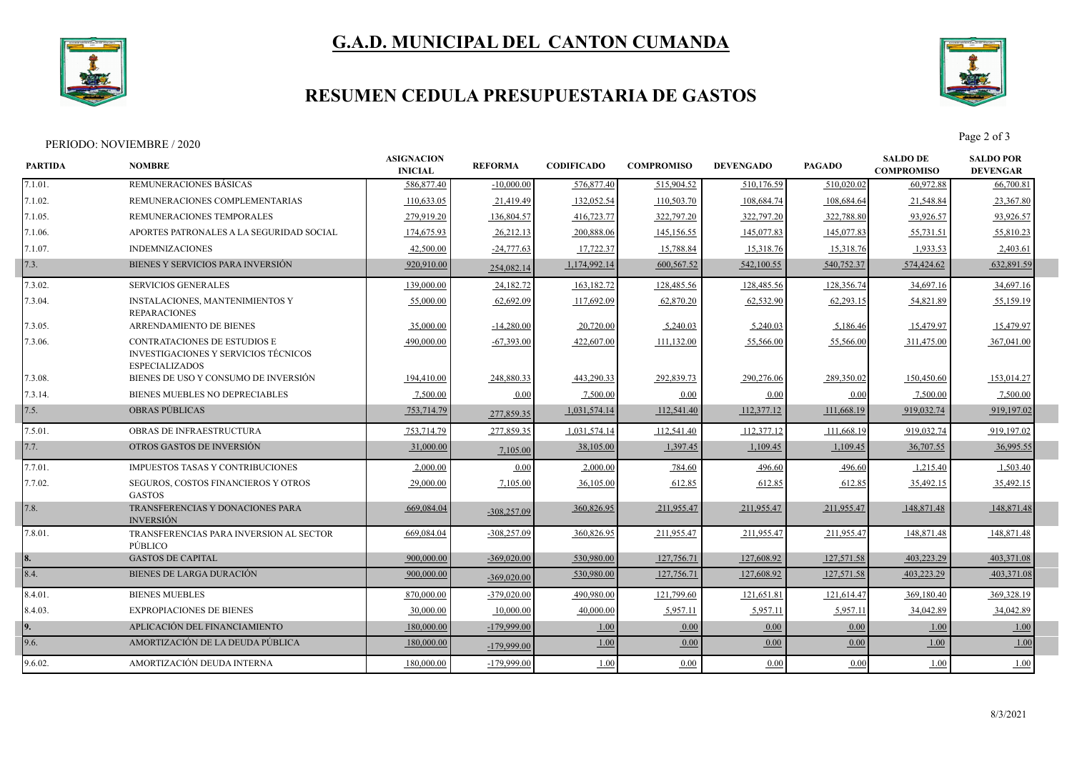

# **G.A.D. MUNICIPAL DEL CANTON CUMANDA**

# **RESUMEN CEDULA PRESUPUESTARIA DE GASTOS**



Page 2 of 3<br>Page 2 of 3

| <b>PARTIDA</b> | <b>NOMBRE</b>                                                                                 | <b>ASIGNACION</b><br><b>INICIAL</b> | <b>REFORMA</b> | <b>CODIFICADO</b> | <b>COMPROMISO</b> | <b>DEVENGADO</b> | <b>PAGADO</b> | <b>SALDO DE</b><br><b>COMPROMISO</b> | <b>SALDO POR</b><br><b>DEVENGAR</b> |  |
|----------------|-----------------------------------------------------------------------------------------------|-------------------------------------|----------------|-------------------|-------------------|------------------|---------------|--------------------------------------|-------------------------------------|--|
| 7.1.01.        | REMUNERACIONES BÁSICAS                                                                        | 586,877.40                          | $-10,000,00$   | 576,877.40        | 515,904.52        | 510,176.59       | 510,020.02    | 60,972.88                            | 66,700.81                           |  |
| 7.1.02.        | REMUNERACIONES COMPLEMENTARIAS                                                                | 110,633.05                          | 21,419.49      | 132,052.54        | 110,503.70        | 108,684.74       | 108,684.64    | 21,548.84                            | 23,367.80                           |  |
| 7.1.05.        | REMUNERACIONES TEMPORALES                                                                     | 279,919.20                          | 136,804.57     | 416,723.77        | 322,797.20        | 322,797.20       | 322,788.80    | 93,926.57                            | 93,926.57                           |  |
| 1.06.          | APORTES PATRONALES A LA SEGURIDAD SOCIAL                                                      | 174,675.93                          | 26,212.13      | 200,888.06        | 145,156.55        | 145,077.83       | 145,077.83    | 55,731.51                            | 55,810.23                           |  |
| 7.1.07.        | <b>INDEMNIZACIONES</b>                                                                        | 42,500.00                           | $-24,777.63$   | 17,722.37         | 15,788.84         | 15,318.76        | 15,318.76     | 1,933.53                             | 2,403.61                            |  |
| 7.3.           | BIENES Y SERVICIOS PARA INVERSIÓN                                                             | 920,910.00                          | 254,082.14     | 1,174,992.14      | 600,567.52        | 542,100.55       | 540,752.37    | 574,424.62                           | 632,891.59                          |  |
| 7.3.02.        | <b>SERVICIOS GENERALES</b>                                                                    | 139,000.00                          | 24,182.72      | 163,182.72        | 128,485.56        | 128,485.56       | 128,356.74    | 34,697.16                            | 34,697.16                           |  |
| 7.3.04.        | <b>INSTALACIONES, MANTENIMIENTOS Y</b><br><b>REPARACIONES</b>                                 | 55,000.00                           | 62,692.09      | 117,692.09        | 62,870.20         | 62,532.90        | 62,293.15     | 54,821.89                            | 55,159.19                           |  |
| 7.3.05.        | ARRENDAMIENTO DE BIENES                                                                       | 35,000.00                           | $-14,280.00$   | 20,720.00         | 5,240.03          | 5,240.03         | 5,186.46      | 15,479.97                            | 15,479.97                           |  |
| 7.3.06.        | CONTRATACIONES DE ESTUDIOS E<br>INVESTIGACIONES Y SERVICIOS TÉCNICOS<br><b>ESPECIALIZADOS</b> | 490,000.00                          | $-67,393.00$   | 422,607.00        | 111,132.00        | 55,566.00        | 55,566.00     | 311,475.00                           | 367,041.00                          |  |
| 7.3.08.        | BIENES DE USO Y CONSUMO DE INVERSIÓN                                                          | 194,410.00                          | 248,880.33     | 443,290.33        | 292,839.73        | 290,276.06       | 289,350.02    | 150,450.60                           | 153,014.27                          |  |
| 7.3.14.        | BIENES MUEBLES NO DEPRECIABLES                                                                | 7,500.00                            | 0.00           | 7,500.00          | 0.00              | 0.00             | 0.00          | 7,500.00                             | 7,500.00                            |  |
| 7.5.           | <b>OBRAS PUBLICAS</b>                                                                         | 753,714.79                          | 277,859.35     | 1,031,574.14      | 112,541.40        | 112,377.12       | 111,668.19    | 919,032.74                           | 919,197.02                          |  |
| 7.5.01.        | <b>OBRAS DE INFRAESTRUCTURA</b>                                                               | 753,714.79                          | 277,859.35     | 1,031,574.14      | 112,541.40        | 112,377.12       | 111,668.19    | 919,032.74                           | 919,197.02                          |  |
| 7.7.           | OTROS GASTOS DE INVERSIÓN                                                                     | 31,000.00                           | 7,105.00       | 38,105.00         | 1,397.45          | 1,109.45         | 1,109.45      | 36,707.55                            | 36,995.55                           |  |
| 7.7.01.        | IMPUESTOS TASAS Y CONTRIBUCIONES                                                              | 2,000.00                            | 0.00           | 2,000.00          | 784.60            | 496.60           | 496.60        | 1,215.40                             | 1,503.40                            |  |
| 7.7.02.        | SEGUROS, COSTOS FINANCIEROS Y OTROS<br><b>GASTOS</b>                                          | 29,000.00                           | 7,105.00       | 36,105.00         | 612.85            | 612.85           | 612.85        | 35,492.15                            | 35,492.15                           |  |
| 7.8.           | TRANSFERENCIAS Y DONACIONES PARA<br><b>INVERSIÓN</b>                                          | 669,084.04                          | $-308,257.09$  | 360,826.95        | 211,955.47        | 211,955.47       | 211,955.47    | 148,871.48                           | 148,871.48                          |  |
| 7.8.01.        | TRANSFERENCIAS PARA INVERSION AL SECTOR<br>PÚBLICO                                            | 669,084.04                          | $-308,257.09$  | 360,826.95        | 211,955.47        | 211,955.47       | 211,955.47    | 148,871.48                           | 148,871.48                          |  |
|                | <b>GASTOS DE CAPITAL</b>                                                                      | 900,000.00                          | $-369,020.00$  | 530,980.00        | 127,756.71        | 127,608.92       | 127,571.58    | 403,223.29                           | 403,371.08                          |  |
| 8.4.           | BIENES DE LARGA DURACIÓN                                                                      | 900,000.00                          | $-369,020.00$  | 530,980.00        | 127,756.71        | 127,608.92       | 127,571.58    | 403,223.29                           | 403,371.08                          |  |
| 8.4.01.        | <b>BIENES MUEBLES</b>                                                                         | 870,000.00                          | $-379,020.00$  | 490,980.00        | 121,799.60        | 121,651.81       | 121,614.47    | 369,180.40                           | 369,328.19                          |  |
| 8.4.03.        | <b>EXPROPIACIONES DE BIENES</b>                                                               | 30,000.00                           | 10,000.00      | 40,000.00         | 5,957.11          | 5,957.11         | 5,957.11      | 34,042.89                            | 34,042.89                           |  |
| 9.             | APLICACIÓN DEL FINANCIAMIENTO                                                                 | 180,000.00                          | $-179,999.00$  | 1.00              | 0.00              | 0.00             | 0.00          | 1.00                                 | 1.00                                |  |
| 9.6.           | AMORTIZACIÓN DE LA DEUDA PÚBLICA                                                              | 180,000.00                          | $-179,999.00$  | 1.00              | 0.00              | 0.00             | 0.00          | 1.00                                 | 1.00                                |  |
| 9.6.02.        | AMORTIZACIÓN DEUDA INTERNA                                                                    | 180,000.00                          | -179,999.00    | 1.00              | 0.00              | 0.00             | 0.00          | 1.00                                 | 1.00                                |  |
|                |                                                                                               |                                     |                |                   |                   |                  |               |                                      |                                     |  |